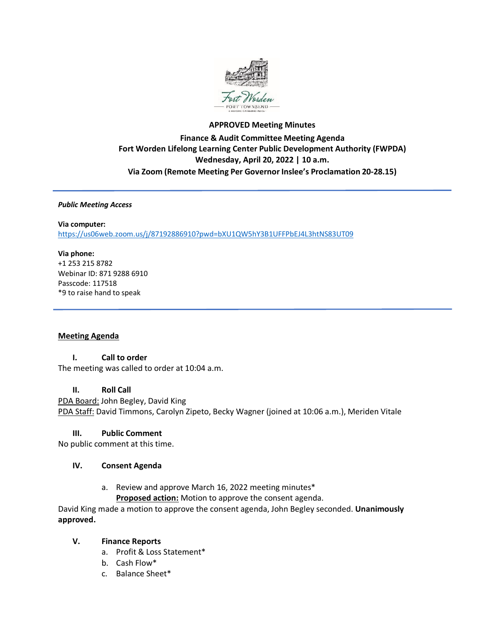

# **APPROVED Meeting Minutes Finance & Audit Committee Meeting Agenda Fort Worden Lifelong Learning Center Public Development Authority (FWPDA) Wednesday, April 20, 2022 | 10 a.m. Via Zoom (Remote Meeting Per Governor Inslee's Proclamation 20-28.15)**

#### *Public Meeting Access*

### **Via computer:** <https://us06web.zoom.us/j/87192886910?pwd=bXU1QW5hY3B1UFFPbEJ4L3htNS83UT09>

#### **Via phone:**

+1 253 215 8782 Webinar ID: 871 9288 6910 Passcode: 117518 \*9 to raise hand to speak

### **Meeting Agenda**

### **I. Call to order**

The meeting was called to order at 10:04 a.m.

#### **II. Roll Call**

PDA Board: John Begley, David King PDA Staff: David Timmons, Carolyn Zipeto, Becky Wagner (joined at 10:06 a.m.), Meriden Vitale

### **III. Public Comment**

No public comment at this time.

#### **IV. Consent Agenda**

a. Review and approve March 16, 2022 meeting minutes\* **Proposed action:** Motion to approve the consent agenda.

David King made a motion to approve the consent agenda, John Begley seconded. **Unanimously approved.**

### **V. Finance Reports**

- a. Profit & Loss Statement\*
- b. Cash Flow\*
- c. Balance Sheet\*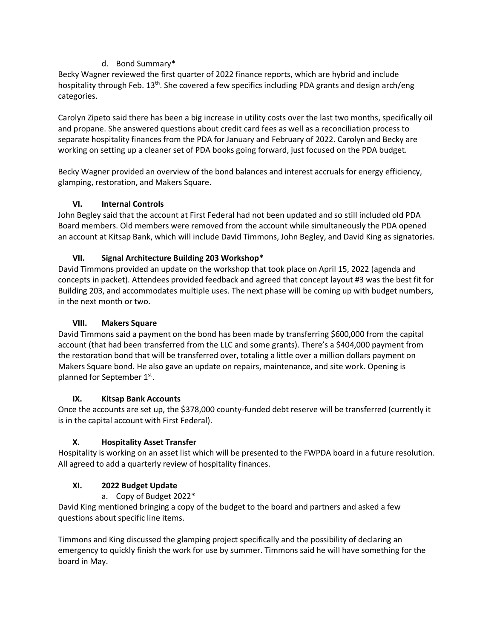## d. Bond Summary\*

Becky Wagner reviewed the first quarter of 2022 finance reports, which are hybrid and include hospitality through Feb. 13<sup>th</sup>. She covered a few specifics including PDA grants and design arch/eng categories.

Carolyn Zipeto said there has been a big increase in utility costs over the last two months, specifically oil and propane. She answered questions about credit card fees as well as a reconciliation process to separate hospitality finances from the PDA for January and February of 2022. Carolyn and Becky are working on setting up a cleaner set of PDA books going forward, just focused on the PDA budget.

Becky Wagner provided an overview of the bond balances and interest accruals for energy efficiency, glamping, restoration, and Makers Square.

# **VI. Internal Controls**

John Begley said that the account at First Federal had not been updated and so still included old PDA Board members. Old members were removed from the account while simultaneously the PDA opened an account at Kitsap Bank, which will include David Timmons, John Begley, and David King as signatories.

# **VII. Signal Architecture Building 203 Workshop\***

David Timmons provided an update on the workshop that took place on April 15, 2022 (agenda and concepts in packet). Attendees provided feedback and agreed that concept layout #3 was the best fit for Building 203, and accommodates multiple uses. The next phase will be coming up with budget numbers, in the next month or two.

# **VIII. Makers Square**

David Timmons said a payment on the bond has been made by transferring \$600,000 from the capital account (that had been transferred from the LLC and some grants). There's a \$404,000 payment from the restoration bond that will be transferred over, totaling a little over a million dollars payment on Makers Square bond. He also gave an update on repairs, maintenance, and site work. Opening is planned for September 1st.

### **IX. Kitsap Bank Accounts**

Once the accounts are set up, the \$378,000 county-funded debt reserve will be transferred (currently it is in the capital account with First Federal).

# **X. Hospitality Asset Transfer**

Hospitality is working on an asset list which will be presented to the FWPDA board in a future resolution. All agreed to add a quarterly review of hospitality finances.

# **XI. 2022 Budget Update**

### a. Copy of Budget 2022\*

David King mentioned bringing a copy of the budget to the board and partners and asked a few questions about specific line items.

Timmons and King discussed the glamping project specifically and the possibility of declaring an emergency to quickly finish the work for use by summer. Timmons said he will have something for the board in May.